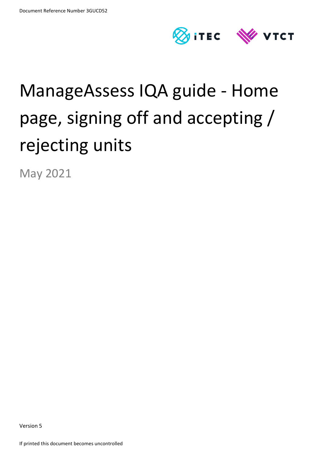

# ManageAssess IQA guide - Home page, signing off and accepting / rejecting units

May 2021

Version 5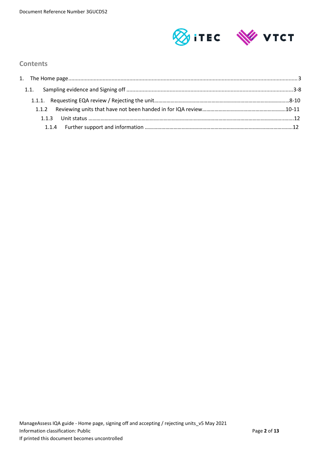

# **Contents**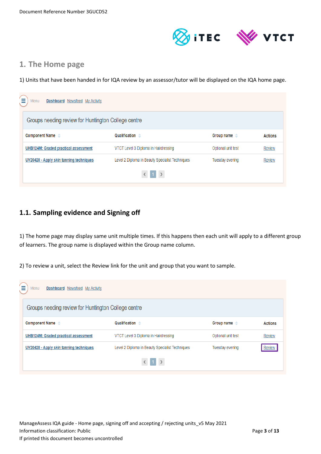

# **1. The Home page**

1) Units that have been handed in for IQA review by an assessor/tutor will be displayed on the IQA home page.

| Dashboard Newsfeed My Activity<br>Menu              |                                                 |                        |                |
|-----------------------------------------------------|-------------------------------------------------|------------------------|----------------|
| Groups needing review for Huntington College centre |                                                 |                        |                |
| Component Name $\Leftrightarrow$                    | Qualification $\triangle$                       | Group name $\triangle$ | <b>Actions</b> |
| UHB124M: Graded practical assessment                | VTCT Level 3 Diploma in Hairdressing            | Optional unit test     | <b>Review</b>  |
| UV20420 - Apply skin tanning techniques             | Level 2 Diploma in Beauty Specialist Techniques | Tuesday evening        | <b>Review</b>  |
|                                                     | $1 \rightarrow$                                 |                        |                |

# **1.1. Sampling evidence and Signing off**

1) The home page may display same unit multiple times. If this happens then each unit will apply to a different group of learners. The group name is displayed within the Group name column.

2) To review a unit, select the Review link for the unit and group that you want to sample.

| Dashboard Newsfeed My Activity<br>Menu              |                                                 |                        |                |
|-----------------------------------------------------|-------------------------------------------------|------------------------|----------------|
| Groups needing review for Huntington College centre |                                                 |                        |                |
| Component Name $\Leftrightarrow$                    | Qualification $\triangle$                       | Group name $\triangle$ | <b>Actions</b> |
| UHB124M: Graded practical assessment                | VTCT Level 3 Diploma in Hairdressing            | Optional unit test     | <b>Review</b>  |
| UV20420 - Apply skin tanning techniques             | Level 2 Diploma in Beauty Specialist Techniques | Tuesday evening        | Review         |
|                                                     | $\langle 1 \rangle$                             |                        |                |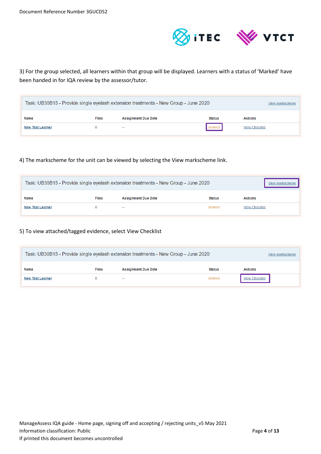

3) For the group selected, all learners within that group will be displayed. Learners with a status of 'Marked' have been handed in for IQA review by the assessor/tutor.

| Task: UB30B15 - Provide single eyelash extension treatments - New Group - June 2020<br>View markscheme |  |        |        |                       |  |
|--------------------------------------------------------------------------------------------------------|--|--------|--------|-----------------------|--|
| <b>Files</b><br><b>Assignment Due Date</b><br><b>Actions</b><br>Name<br><b>Status</b>                  |  |        |        |                       |  |
| <b>New Test Learner</b>                                                                                |  | $\sim$ | Marked | <b>View Checklist</b> |  |

#### 4) The markscheme for the unit can be viewed by selecting the View markscheme link.

| Task: UB30B15 - Provide single eyelash extension treatments - New Group - June 2020   |  |        |        |                       |  |
|---------------------------------------------------------------------------------------|--|--------|--------|-----------------------|--|
| <b>Assignment Due Date</b><br><b>Files</b><br><b>Actions</b><br>Name<br><b>Status</b> |  |        |        |                       |  |
| <b>New Test Learner</b>                                                               |  | $\sim$ | Marked | <b>View Checklist</b> |  |

## 5) To view attached/tagged evidence, select View Checklist

| Task: UB30B15 - Provide single eyelash extension treatments - New Group - June 2020<br>View markscheme |  |        |        |                       |  |
|--------------------------------------------------------------------------------------------------------|--|--------|--------|-----------------------|--|
| <b>Assignment Due Date</b><br><b>Files</b><br><b>Actions</b><br>Name<br><b>Status</b>                  |  |        |        |                       |  |
| <b>New Test Learner</b>                                                                                |  | $\sim$ | Marked | <b>View Checklist</b> |  |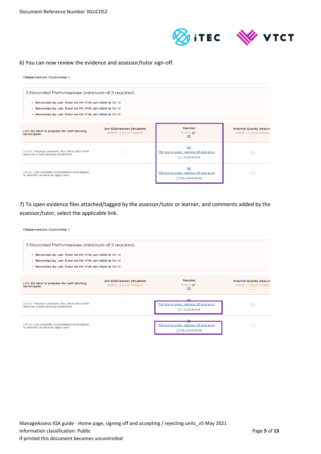



#### 6) You can now review the evidence and assessor/tutor sign-off.

#### **Observation Outcome 1** 3 Recorded Performances (minimum of 3 required) - Recorded by Jon Tutor on Fri 17th Jan 2020 at 13:13 - Recorded by Jon Tutor on Fri 17th Jan 2020 at 13:13 - Recorded by Jon Tutor on Fri 17th Jan 2020 at 13:13 Jon EQAlearner (Student) Teacher **Internal Quality Assure** LO1 Be able to prepare for self tanning<br>techniques  $0$  of 5 - 5 more needed 0 of 5 - 5 more needed 5 of 5  $\sqrt{ }$ ø  $\overline{\mathcal{L}}$ LO1a: Prepare yourself, the client and work<br>area for a self tanning treatment The home page, signing off and acce...  $\hfill \square$  $\bigcirc$  1 comment  $\overline{\mathcal{L}}$ LO1b: Use suitable consultation techniques<br>to identify treatment objectives The home page, signing off and acce...,  $\Box$ O no comments

7) To open evidence files attached/tagged by the assessor/tutor or learner, and comments added by the assessor/tutor, select the applicable link.

#### **Observation Outcome 1**

| 3 Recorded Performances (minimum of 3 required)<br>- Recorded by Jon Tutor on Fri 17th Jan 2020 at 13:13<br>- Recorded by Jon Tutor on Fri 17th Jan 2020 at 13:13<br>- Recorded by Jon Tutor on Fri 17th Jan 2020 at 13:13 |                                                    |                                                                |                                                          |
|----------------------------------------------------------------------------------------------------------------------------------------------------------------------------------------------------------------------------|----------------------------------------------------|----------------------------------------------------------------|----------------------------------------------------------|
| LO1 Be able to prepare for self tanning<br>techniques                                                                                                                                                                      | Jon EQAlearner (Student)<br>0 of 5 - 5 more needed | <b>Teacher</b><br>$5$ of $5 \vee$<br>び                         | <b>Internal Quality Assure</b><br>0 of 5 - 5 more needed |
| LO1a: Prepare yourself, the client and work<br>area for a self tanning treatment                                                                                                                                           |                                                    | The home page, signing off and acce<br>$\bigcirc$ 1 comment    |                                                          |
| LO1b: Use suitable consultation techniques<br>to identify treatment objectives                                                                                                                                             |                                                    | The home page, signing off and acce,<br>$\bigcirc$ no comments |                                                          |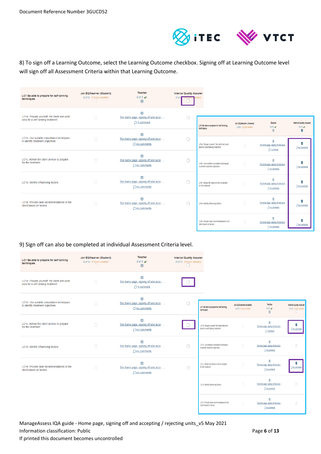

# 8) To sign off a Learning Outcome, select the Learning Outcome checkbox. Signing off at Learning Outcome level will sign off all Assessment Criteria within that Learning Outcome.

| LO1 Be able to prepare for self tanning<br>techniques                            | Jon EQAlearner (Student)<br>0 of 5 - 5 more needed<br>U | <b>Teacher</b><br>$5$ of $5 \vee$<br>☑                           | <b>Internal Quality Assurer</b><br>0 of \$ <del>- o more n</del> eded |                                                                                  |                                                    |                                                                               |                                               |
|----------------------------------------------------------------------------------|---------------------------------------------------------|------------------------------------------------------------------|-----------------------------------------------------------------------|----------------------------------------------------------------------------------|----------------------------------------------------|-------------------------------------------------------------------------------|-----------------------------------------------|
| LO1a: Prepare yourself, the client and work<br>area for a self tanning treatment | $\Box$                                                  | ⊽<br>The home page, signing off and acce<br>$\bigcirc$ 1 comment |                                                                       | LO1 Be able to prepare for self tanning<br>techniques                            | Jon EQAlearner (Student)<br>0 of 5 - 5 more needed | Teacher<br>$50f5 \vee$                                                        | Internal Quality Assurer<br>$50f5$ $\sqrt{ }$ |
| LO1b: Use suitable consultation techniques<br>to identify treatment objectives   | $\Box$                                                  | The home page, signing off and acce<br>$\bigcirc$ no comments    | $\Box$                                                                | LO1a: Prepare vourself, the client and work<br>area for a self tanning treatment | U<br>0                                             | ø<br>п<br>The home page, signing off and acce.                                | $\overline{\mathbf{v}}$<br>One comments       |
| LO1c: Advise the client on how to prepare<br>for the treatment                   | $\Box$                                                  | The home page, signing off and acce,<br>$\bigcirc$ no comments   | n                                                                     | LO1b: Use suitable consultation techniques<br>to identify treatment objectives   | $\Box$                                             | O <sub>1</sub> comment<br>The home page, signing off and acce<br>Ono comments | $\overline{\mathbf{v}}$<br>One comments       |
| LO1d: Identify influencing factors                                               | $\Box$                                                  | The home page, signing off and acce,<br>$\bigcirc$ no comments   | ∩                                                                     | LO1c: Advise the client on how to prepare<br>for the treatment                   | 0                                                  | The home page, signing off and acce<br>O no comments                          | $\overline{\mathbf{v}}$<br>One comments       |
| LO1e: Provide clear recommendations to the<br>client based on factors            | n                                                       | The home page, signing off and acce<br>$\bigcirc$ no comments    | n                                                                     | LO1d: Identify influencing factors                                               | 0                                                  | D<br>The home page, signing off and acce.<br>○ no comments                    | $\overline{\mathbf{v}}$<br>Ono comments       |
|                                                                                  |                                                         |                                                                  |                                                                       | LO1e: Provide clear recommendations to the<br>client based on factors            | $\Box$                                             | ø<br>The home page, signing off and acce.<br>Ono comments                     | ᢦ<br>One comments                             |

#### 9) Sign off can also be completed at individual Assessment Criteria level.

| LO1 Be able to prepare for self tanning<br>techniques                            | Jon EQAlearner (Student)<br>0 of 5 - 5 more needed | <b>Teacher</b><br>$5$ of $5 \vee$<br>$\overline{\mathcal{L}}$                             | <b>Internal Quality Assurer</b><br>0 of 5 - 5 more needed |                                                                                  |                                                    |                                                                    |                                                           |
|----------------------------------------------------------------------------------|----------------------------------------------------|-------------------------------------------------------------------------------------------|-----------------------------------------------------------|----------------------------------------------------------------------------------|----------------------------------------------------|--------------------------------------------------------------------|-----------------------------------------------------------|
| LO1a: Prepare yourself, the client and work<br>area for a self tanning treatment | $\Box$                                             | $\overline{\mathcal{L}}$<br>The home page, signing off and acce,<br>$O1$ comment          |                                                           |                                                                                  |                                                    |                                                                    |                                                           |
| LO1b: Use suitable consultation techniques<br>to identify treatment objectives   | $\Box$                                             | $\overline{\mathsf{v}}$<br>The home page, signing off and acce,<br>$\bigcirc$ no comments | ∩                                                         | LO1 Be able to prepare for self tanning<br>techniques                            | Jon EQAlearner (Student)<br>0 of 5 - 5 more needed | Teacher<br>$5015 \blacktriangleright$<br>$\overline{a}$            | <b>Internal Quality Assurer</b><br>2 of 5 - 3 more needed |
| LO1c: Advise the client on how to prepare<br>for the treatment                   | $\Box$                                             | ⊽<br>The home page, signing off and acce,<br>○ no comments                                |                                                           | LO1a: Prepare yourself, the client and work<br>area for a self tanning treatment | 0                                                  | Ø<br>The home page, signing off and acce<br>O <sub>1</sub> comment | √<br>O no comments                                        |
| LO1d: Identify influencing factors                                               | n                                                  | $\overline{\mathcal{L}}$<br>The home page, signing off and acce,<br>○ no comments         | n                                                         | LO1b: Use suitable consultation techniques<br>to identify treatment objectives   | $\Box$                                             | ø<br>The home page, signing off and acce<br>Ono comments           | $\Box$                                                    |
| LO1e: Provide clear recommendations to the<br>client based on factors            | n                                                  | $\vert$ v $\vert$<br>The home page, signing off and acce,<br>$\bigcirc$ no comments       | n                                                         | LO1c: Advise the client on how to prepare<br>for the treatment                   | $\Box$                                             | The home page, signing off and acce<br>O no comments               | ☑<br>Ono comments                                         |
|                                                                                  |                                                    |                                                                                           |                                                           | LO1d: Identify influencing factors                                               | 0                                                  | D<br>The home page, signing off and acce<br>Ono comments           | Ω                                                         |
|                                                                                  |                                                    |                                                                                           |                                                           | LO1e: Provide clear recommendations to the<br>client based on factors            | $\Box$                                             | The home page, signing off and acce<br>One comments                | $\Box$                                                    |

ManageAssess IQA guide - Home page, signing off and accepting / rejecting units\_v5 May 2021 Information classification: Public **Page 6** of 13 If printed this document becomes uncontrolled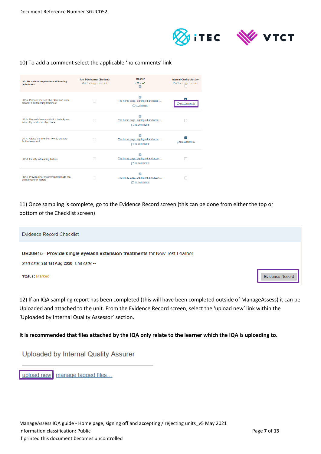

#### 10) To add a comment select the applicable 'no comments' link

| LO1 Be able to prepare for self tanning<br>techniques                            | Jon EQAlearner (Student)<br>0 of 5 - 5 more needed | Teacher<br>$5$ of $5 \vee$<br>$\overline{\mathbf{z}}$                             | <b>Internal Quality Assurer</b><br>2 of 5 - 3 more needed |
|----------------------------------------------------------------------------------|----------------------------------------------------|-----------------------------------------------------------------------------------|-----------------------------------------------------------|
| LO1a: Prepare yourself, the client and work<br>area for a self tanning treatment | n                                                  | ⊽<br>The home page, signing off and acce<br>$\bigcirc$ 1 comment                  | 5<br>$\Box$ no comments                                   |
| LO1b: Use suitable consultation techniques<br>to identify treatment objectives   |                                                    | $\overline{a}$<br>The home page, signing off and acce,<br>$\bigcirc$ no comments  |                                                           |
| LO1c: Advise the client on how to prepare<br>for the treatment                   |                                                    | The home page, signing off and acce,<br>$\bigcirc$ no comments                    | M<br>$\bigcirc$ no comments                               |
| LO1d: Identify influencing factors                                               |                                                    | The home page, signing off and acce,<br>○ no comments                             |                                                           |
| LO1e: Provide clear recommendations to the<br>client based on factors            |                                                    | $\overline{\mathcal{L}}$<br>The home page, signing off and acce,<br>○ no comments |                                                           |

11) Once sampling is complete, go to the Evidence Record screen (this can be done from either the top or bottom of the Checklist screen)

| Evidence Record Checklist                                                  |                        |
|----------------------------------------------------------------------------|------------------------|
|                                                                            |                        |
| UB30B15 - Provide single eyelash extension treatments for New Test Learner |                        |
| Start date: Sat 1st Aug 2020 End date: --                                  |                        |
| <b>Status: Marked</b>                                                      | <b>Evidence Record</b> |

12) If an IQA sampling report has been completed (this will have been completed outside of ManageAssess) it can be Uploaded and attached to the unit. From the Evidence Record screen, select the 'upload new' link within the 'Uploaded by Internal Quality Assessor' section.

**It is recommended that files attached by the IQA only relate to the learner which the IQA is uploading to.**

**Uploaded by Internal Quality Assurer** 

upload new | manage tagged files...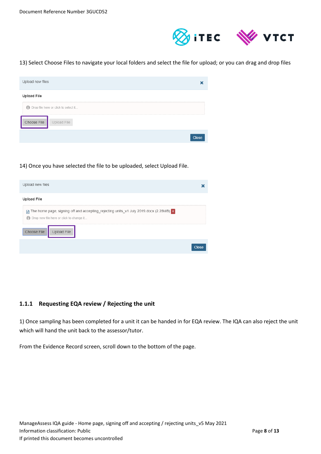

#### 13) Select Choose Files to navigate your local folders and select the file for upload; or you can drag and drop files

| Upload new files                     |              |
|--------------------------------------|--------------|
| <b>Upload File</b>                   |              |
| Drop file here or click to select it |              |
| Choose File<br>Upload File           |              |
|                                      | <b>Close</b> |

#### 14) Once you have selected the file to be uploaded, select Upload File.

| Upload new files                                                                                                                                                     |              |
|----------------------------------------------------------------------------------------------------------------------------------------------------------------------|--------------|
| <b>Upload File</b>                                                                                                                                                   |              |
| The home page, signing off and accepting_rejecting units_v1 July 2019.docx (2.28MB) x<br>Drop new file here or click to change it<br>6<br>Choose File<br>Upload File |              |
|                                                                                                                                                                      | <b>Close</b> |

#### **1.1.1 Requesting EQA review / Rejecting the unit**

1) Once sampling has been completed for a unit it can be handed in for EQA review. The IQA can also reject the unit which will hand the unit back to the assessor/tutor.

From the Evidence Record screen, scroll down to the bottom of the page.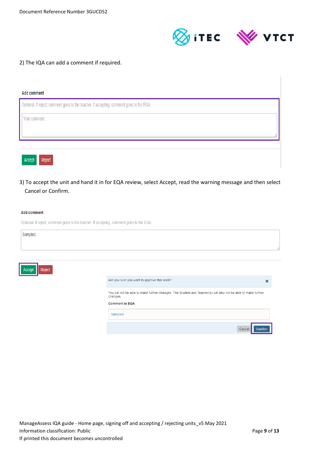

#### 2) The IQA can add a comment if required.

| <b>Add comment</b>                                                                       |  |
|------------------------------------------------------------------------------------------|--|
| Optional. If reject, comment goes to the teacher. If accepting, comment goes to the EQA. |  |
| Your comment                                                                             |  |
|                                                                                          |  |
|                                                                                          |  |
| Reject<br>Accept                                                                         |  |

3) To accept the unit and hand it in for EQA review, select Accept, read the warning message and then select Cancel or Confirm.

#### **Add comment**

| Optional. If reject, comment goes to the teacher. If accepting, comment goes to the EQA. |  |  |
|------------------------------------------------------------------------------------------|--|--|
|                                                                                          |  |  |

| Sampled.         |                                                                                                                            |             |
|------------------|----------------------------------------------------------------------------------------------------------------------------|-------------|
|                  |                                                                                                                            |             |
|                  |                                                                                                                            |             |
|                  |                                                                                                                            |             |
|                  |                                                                                                                            |             |
| Reject<br>Accept |                                                                                                                            |             |
|                  | Are you sure you want to approve this work?                                                                                | $\mathbf x$ |
|                  | You will not be able to make further changes. The Student and Teacher(s) will also not be able to make further<br>changes. |             |
|                  | Comment to EQA                                                                                                             |             |
|                  | Sampled.                                                                                                                   |             |
|                  | Cancel<br>Confirm                                                                                                          |             |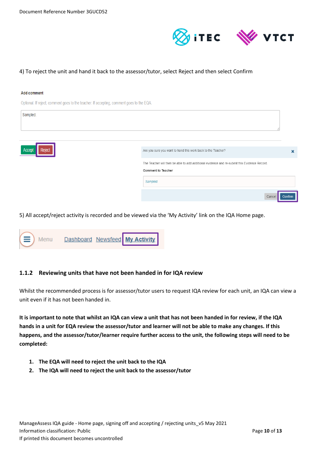

#### 4) To reject the unit and hand it back to the assessor/tutor, select Reject and then select Confirm

#### **Add comment**

Optional. If reject, comment goes to the teacher. If accepting, comment goes to the EQA.

| Sampled.         |                                                                                                                           |         |                           |
|------------------|---------------------------------------------------------------------------------------------------------------------------|---------|---------------------------|
| Reject<br>Accept | Are you sure you want to hand this work back to the Teacher?                                                              |         | $\boldsymbol{\mathsf{x}}$ |
|                  | The Teacher will then be able to add additional evidence and re-submit this Evidence Record.<br><b>Comment to Teacher</b> |         |                           |
|                  | Sampled.                                                                                                                  |         |                           |
|                  | Cancel                                                                                                                    | Confirm |                           |

5) All accept/reject activity is recorded and be viewed via the 'My Activity' link on the IQA Home page.

| $\left(\equiv\right)$ Menu |  | Dashboard Newsfeed My Activity |
|----------------------------|--|--------------------------------|
|                            |  |                                |

#### **1.1.2 Reviewing units that have not been handed in for IQA review**

Whilst the recommended process is for assessor/tutor users to request IQA review for each unit, an IQA can view a unit even if it has not been handed in.

**It is important to note that whilst an IQA can view a unit that has not been handed in for review, if the IQA hands in a unit for EQA review the assessor/tutor and learner will not be able to make any changes. If this happens, and the assessor/tutor/learner require further access to the unit, the following steps will need to be completed:**

- **1. The EQA will need to reject the unit back to the IQA**
- **2. The IQA will need to reject the unit back to the assessor/tutor**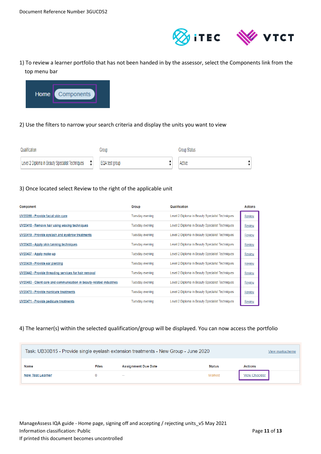

1) To review a learner portfolio that has not been handed in by the assessor, select the Components link from the top menu bar



#### 2) Use the filters to narrow your search criteria and display the units you want to view

| Qualification                                                     | Group          | Group Status |
|-------------------------------------------------------------------|----------------|--------------|
| $\ddot{\cdot}$<br>Level 2 Diploma in Beauty Specialist Techniques | EQA test group | Active       |

#### 3) Once located select Review to the right of the applicable unit

| Component                                                            | Group           | Qualification                                   | <b>Actions</b> |
|----------------------------------------------------------------------|-----------------|-------------------------------------------------|----------------|
| UV20398 - Provide facial skin care                                   | Tuesday evening | Level 2 Diploma in Beauty Specialist Techniques | Review         |
| UV20418 - Remove hair using waxing techniques                        | Tuesday evening | Level 2 Diploma in Beauty Specialist Techniques | <b>Review</b>  |
| UV20419 - Provide eyelash and eyebrow treatments                     | Tuesday evening | Level 2 Diploma in Beauty Specialist Techniques | <b>Review</b>  |
| UV20420 - Apply skin tanning techniques                              | Tuesday evening | Level 2 Diploma in Beauty Specialist Techniques | <b>Review</b>  |
| UV20437 - Apply make-up                                              | Tuesday evening | Level 2 Diploma in Beauty Specialist Techniques | <b>Review</b>  |
| UV20439 - Provide ear piercing                                       | Tuesday evening | Level 2 Diploma in Beauty Specialist Techniques | <b>Review</b>  |
| UV20442 - Provide threading services for hair removal                | Tuesday evening | Level 2 Diploma in Beauty Specialist Techniques | <b>Review</b>  |
| UV20453 - Client care and communication in beauty-related industries | Tuesday evening | Level 2 Diploma in Beauty Specialist Techniques | <b>Review</b>  |
| UV20470 - Provide manicure treatments                                | Tuesday evening | Level 2 Diploma in Beauty Specialist Techniques | <b>Review</b>  |
| UV20471 - Provide pedicure treatments                                | Tuesday evening | Level 2 Diploma in Beauty Specialist Techniques | <b>Review</b>  |

#### 4) The learner(s) within the selected qualification/group will be displayed. You can now access the portfolio

| Task: UB30B15 - Provide single eyelash extension treatments - New Group - June 2020<br>View markscheme |              |                            |               |                       |
|--------------------------------------------------------------------------------------------------------|--------------|----------------------------|---------------|-----------------------|
| <b>Name</b>                                                                                            | <b>Files</b> | <b>Assignment Due Date</b> | <b>Status</b> | <b>Actions</b>        |
| <b>New Test Learner</b>                                                                                |              | $\sim$                     | Marked        | <b>View Checklist</b> |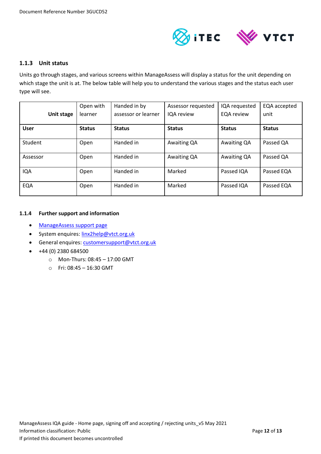

#### **1.1.3 Unit status**

Units go through stages, and various screens within ManageAssess will display a status for the unit depending on which stage the unit is at. The below table will help you to understand the various stages and the status each user type will see.

|             | Open with     | Handed in by        | Assessor requested | IQA requested     | EQA accepted  |
|-------------|---------------|---------------------|--------------------|-------------------|---------------|
| Unit stage  | learner       | assessor or learner | IQA review         | <b>EQA</b> review | unit          |
|             |               |                     |                    |                   |               |
| <b>User</b> | <b>Status</b> | <b>Status</b>       | <b>Status</b>      | <b>Status</b>     | <b>Status</b> |
|             |               |                     |                    |                   |               |
| Student     | Open          | Handed in           | Awaiting QA        | Awaiting QA       | Passed QA     |
|             |               |                     |                    |                   |               |
| Assessor    | Open          | Handed in           | Awaiting QA        | Awaiting QA       | Passed QA     |
|             |               |                     |                    |                   |               |
| IQA         | Open          | Handed in           | Marked             | Passed IQA        | Passed EQA    |
| EQA         | Open          | Handed in           | Marked             | Passed IQA        | Passed EQA    |
|             |               |                     |                    |                   |               |

#### **1.1.4 Further support and information**

- [ManageAssess support page](https://linx2portal.vtct.org.uk/Linx2/ManageAssess.aspx)
- System enquires: [linx2help@vtct.org.uk](mailto:linx2help@vtct.org.uk)
- General enquires: [customersupport@vtct.org.uk](mailto:customersupport@vtct.org.uk)
- $+44(0)$  2380 684500
	- o Mon-Thurs: 08:45 17:00 GMT
	- o Fri: 08:45 16:30 GMT